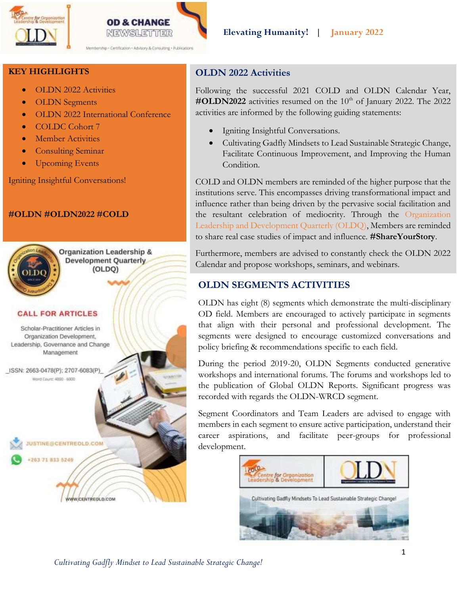



**KEY HIGHLIGHTS**

- OLDN 2022 Activities
- OLDN Segments
- OLDN 2022 International Conference
- COLDC Cohort 7
- Member Activities
- Consulting Seminar
- Upcoming Events

Igniting Insightful Conversations!

#### **#OLDN #OLDN2022 #COLD**



**Organization Leadership & Development Quarterly** (OLDQ)

#### **CALL FOR ARTICLES**

Scholar-Practitioner Articles in Organization Development, Leadership, Governance and Change Management

ISSN: 2663-0478(P); 2707-6083(P) Word Count: 4000 - 6000

**JUSTINE@CENTREDLD.COM** 

WW.CENTREOLD.COM

+263 71 833 5249



Following the successful 2021 COLD and OLDN Calendar Year,  $\text{\#OLDN2022}$  activities resumed on the  $10^{\text{th}}$  of January 2022. The 2022 activities are informed by the following guiding statements:

- Igniting Insightful Conversations.
- Cultivating Gadfly Mindsets to Lead Sustainable Strategic Change, Facilitate Continuous Improvement, and Improving the Human Condition.

COLD and OLDN members are reminded of the higher purpose that the institutions serve. This encompasses driving transformational impact and influence rather than being driven by the pervasive social facilitation and the resultant celebration of mediocrity. Through the Organization Leadership and Development Quarterly (OLDQ), Members are reminded to share real case studies of impact and influence. **#ShareYourStory**.

Furthermore, members are advised to constantly check the OLDN 2022 Calendar and propose workshops, seminars, and webinars.

# **OLDN SEGMENTS ACTIVITIES**

OLDN has eight (8) segments which demonstrate the multi-disciplinary OD field. Members are encouraged to actively participate in segments that align with their personal and professional development. The segments were designed to encourage customized conversations and policy briefing & recommendations specific to each field.

During the period 2019-20, OLDN Segments conducted generative workshops and international forums. The forums and workshops led to the publication of Global OLDN Reports. Significant progress was recorded with regards the OLDN-WRCD segment.

Segment Coordinators and Team Leaders are advised to engage with members in each segment to ensure active participation, understand their career aspirations, and facilitate peer-groups for professional development.

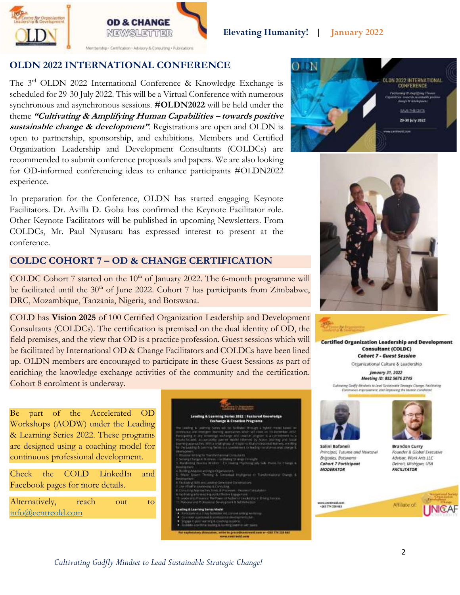



Membership . Certification . Advisory & Consulting . Publications

**OD & CHANGE NEWSLETTER** 

# **OLDN 2022 INTERNATIONAL CONFERENCE**

The 3<sup>rd</sup> OLDN 2022 International Conference & Knowledge Exchange is scheduled for 29-30 July 2022. This will be a Virtual Conference with numerous synchronous and asynchronous sessions. **#OLDN2022** will be held under the theme **"Cultivating & Amplifying Human Capabilities – towards positive sustainable change & development"**. Registrations are open and OLDN is open to partnership, sponsorship, and exhibitions. Members and Certified Organization Leadership and Development Consultants (COLDCs) are recommended to submit conference proposals and papers. We are also looking for OD-informed conferencing ideas to enhance participants #OLDN2022 experience.

In preparation for the Conference, OLDN has started engaging Keynote Facilitators. Dr. Avilla D. Goba has confirmed the Keynote Facilitator role. Other Keynote Facilitators will be published in upcoming Newsletters. From COLDCs, Mr. Paul Nyausaru has expressed interest to present at the conference.

## **COLDC COHORT 7 – OD & CHANGE CERTIFICATION**

COLDC Cohort 7 started on the  $10<sup>th</sup>$  of January 2022. The 6-month programme will be facilitated until the  $30<sup>th</sup>$  of June 2022. Cohort 7 has participants from Zimbabwe, DRC, Mozambique, Tanzania, Nigeria, and Botswana.

COLD has **Vision 2025** of 100 Certified Organization Leadership and Development Consultants (COLDCs). The certification is premised on the dual identity of OD, the field premises, and the view that OD is a practice profession. Guest sessions which will be facilitated by International OD & Change Facilitators and COLDCs have been lined up. OLDN members are encouraged to participate in these Guest Sessions as part of enriching the knowledge-exchange activities of the community and the certification. Cohort 8 enrolment is underway.

Be part of the Accelerated OD Workshops (AODW) under the Leading & Learning Series 2022. These programs are designed using a coaching model for continuous professional development.

Check the COLD LinkedIn and Facebook pages for more details.

Alternatively, reach out to [info@centreold.com](mailto:info@centreold.com)







#### **Certified Organization Leadership and Development Consultant (COLDC) Cohort 7 - Guest Session**

Organizational Culture & Leadership

January 31, 2022 Meeting ID: 852 5676 2745 Cultivating Gadily Mindson to Jacob Secondrocky Strangle Change, Recibeding

cuses improvement, and improving the Moman Co.





Salini Bafaneli Principal, Tutume and Nswazw Brigades, Botswano **Cohort 7 Participant MODERATOR** 

**Brandon Curry** Founder & Global Executive Advisor, Work Arts LLC Detroit, Michigan, USA **FACILITATOR** 



*Cultivating Gadfly Mindset to Lead Sustainable Strategic Change!*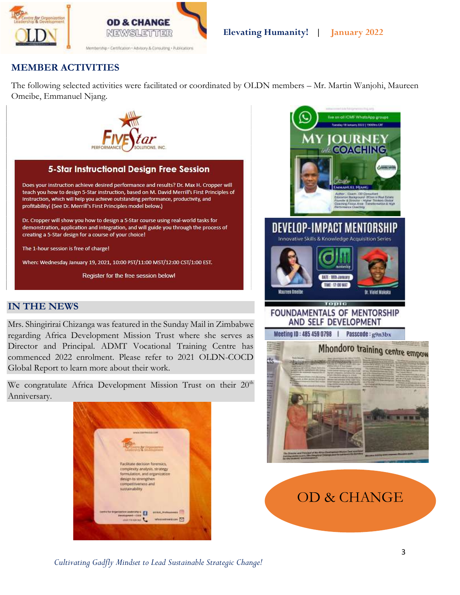



#### **MEMBER ACTIVITIES**

The following selected activities were facilitated or coordinated by OLDN members – Mr. Martin Wanjohi, Maureen Omeibe, Emmanuel Njang.



### **IN THE NEWS**

Mrs. Shingirirai Chizanga was featured in the Sunday Mail in Zimbabwe regarding Africa Development Mission Trust where she serves as Director and Principal. ADMT Vocational Training Centre has commenced 2022 enrolment. Please refer to 2021 OLDN-COCD Global Report to learn more about their work.

We congratulate Africa Development Mission Trust on their 20<sup>th</sup> Anniversary.